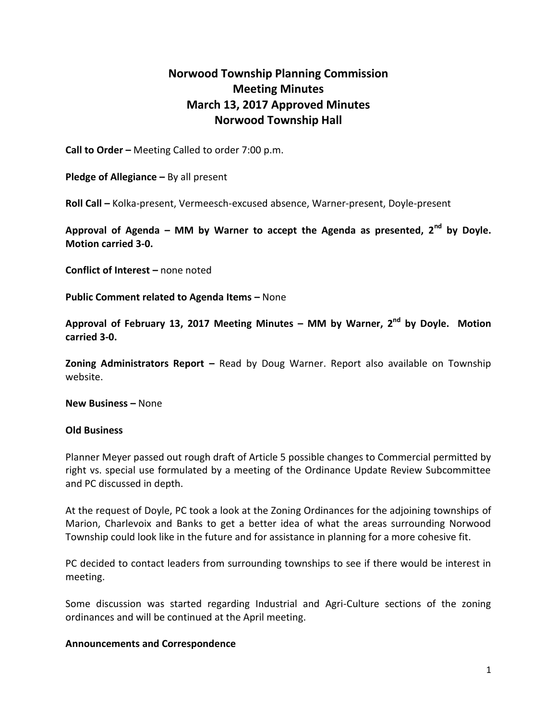## **Norwood Township Planning Commission Meeting Minutes March 13, 2017 Approved Minutes Norwood Township Hall**

**Call to Order –** Meeting Called to order 7:00 p.m.

**Pledge of Allegiance –** By all present

**Roll Call –** Kolka-present, Vermeesch-excused absence, Warner-present, Doyle-present

**Approval of Agenda – MM by Warner to accept the Agenda as presented, 2nd by Doyle. Motion carried 3-0.**

**Conflict of Interest –** none noted

**Public Comment related to Agenda Items – None** 

**Approval of February 13, 2017 Meeting Minutes – MM by Warner, 2nd by Doyle. Motion carried 3-0.**

**Zoning Administrators Report –** Read by Doug Warner. Report also available on Township website.

**New Business –** None

## **Old Business**

Planner Meyer passed out rough draft of Article 5 possible changes to Commercial permitted by right vs. special use formulated by a meeting of the Ordinance Update Review Subcommittee and PC discussed in depth.

At the request of Doyle, PC took a look at the Zoning Ordinances for the adjoining townships of Marion, Charlevoix and Banks to get a better idea of what the areas surrounding Norwood Township could look like in the future and for assistance in planning for a more cohesive fit.

PC decided to contact leaders from surrounding townships to see if there would be interest in meeting.

Some discussion was started regarding Industrial and Agri-Culture sections of the zoning ordinances and will be continued at the April meeting.

## **Announcements and Correspondence**